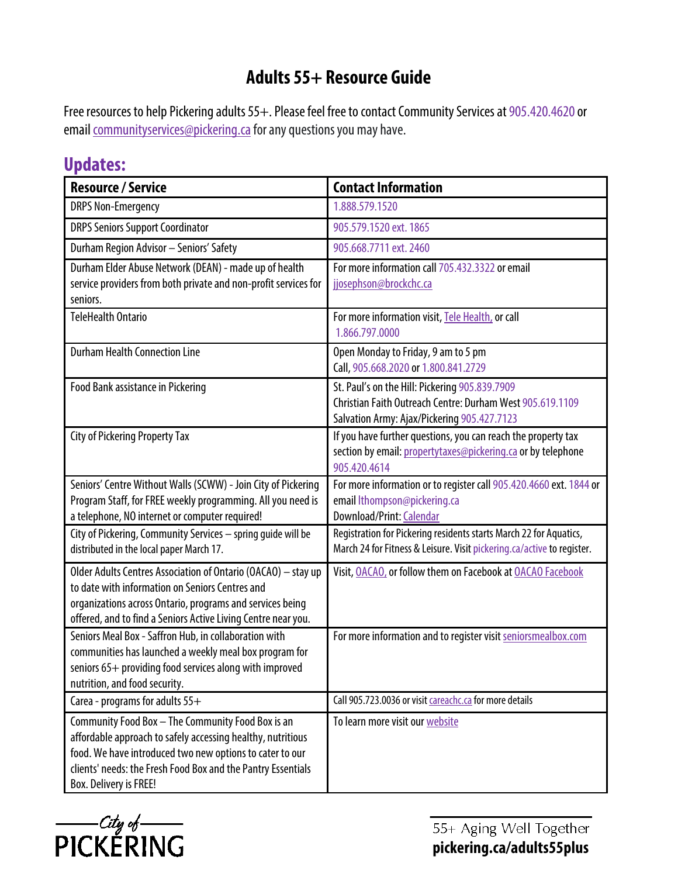## **Adults 55+ Resource Guide**

Free resources to help Pickering adults 55+. Please feel free to contact Community Services at 905.420.4620 or email communityservices@pickering.ca for any questions you may have.

## **Updates:**

| <b>Resource / Service</b>                                                                                                                                                                                                                                              | <b>Contact Information</b>                                                                                                                                 |
|------------------------------------------------------------------------------------------------------------------------------------------------------------------------------------------------------------------------------------------------------------------------|------------------------------------------------------------------------------------------------------------------------------------------------------------|
| <b>DRPS Non-Emergency</b>                                                                                                                                                                                                                                              | 1.888.579.1520                                                                                                                                             |
| <b>DRPS Seniors Support Coordinator</b>                                                                                                                                                                                                                                | 905.579.1520 ext. 1865                                                                                                                                     |
| Durham Region Advisor - Seniors' Safety                                                                                                                                                                                                                                | 905.668.7711 ext. 2460                                                                                                                                     |
| Durham Elder Abuse Network (DEAN) - made up of health<br>service providers from both private and non-profit services for<br>seniors.                                                                                                                                   | For more information call 705.432.3322 or email<br>jjosephson@brockchc.ca                                                                                  |
| <b>TeleHealth Ontario</b>                                                                                                                                                                                                                                              | For more information visit, Tele Health, or call<br>1.866.797.0000                                                                                         |
| <b>Durham Health Connection Line</b>                                                                                                                                                                                                                                   | Open Monday to Friday, 9 am to 5 pm<br>Call, 905.668.2020 or 1.800.841.2729                                                                                |
| Food Bank assistance in Pickering                                                                                                                                                                                                                                      | St. Paul's on the Hill: Pickering 905.839.7909<br>Christian Faith Outreach Centre: Durham West 905.619.1109<br>Salvation Army: Ajax/Pickering 905.427.7123 |
| <b>City of Pickering Property Tax</b>                                                                                                                                                                                                                                  | If you have further questions, you can reach the property tax<br>section by email: propertytaxes@pickering.ca or by telephone<br>905.420.4614              |
| Seniors' Centre Without Walls (SCWW) - Join City of Pickering<br>Program Staff, for FREE weekly programming. All you need is<br>a telephone, NO internet or computer required!                                                                                         | For more information or to register call 905.420.4660 ext. 1844 or<br>email lthompson@pickering.ca<br><b>Download/Print: Calendar</b>                      |
| City of Pickering, Community Services - spring guide will be<br>distributed in the local paper March 17.                                                                                                                                                               | Registration for Pickering residents starts March 22 for Aquatics,<br>March 24 for Fitness & Leisure. Visit pickering.ca/active to register.               |
| Older Adults Centres Association of Ontario (OACAO) - stay up<br>to date with information on Seniors Centres and<br>organizations across Ontario, programs and services being<br>offered, and to find a Seniors Active Living Centre near you.                         | Visit, OACAO, or follow them on Facebook at OACAO Facebook                                                                                                 |
| Seniors Meal Box - Saffron Hub, in collaboration with<br>communities has launched a weekly meal box program for<br>seniors 65+ providing food services along with improved<br>nutrition, and food security.                                                            | For more information and to register visit seniorsmealbox.com                                                                                              |
| Carea - programs for adults 55+                                                                                                                                                                                                                                        | Call 905.723.0036 or visit careachc.ca for more details                                                                                                    |
| Community Food Box - The Community Food Box is an<br>affordable approach to safely accessing healthy, nutritious<br>food. We have introduced two new options to cater to our<br>clients' needs: the Fresh Food Box and the Pantry Essentials<br>Box. Delivery is FREE! | To learn more visit our website                                                                                                                            |



55+ Aging Well Together **[pickering.ca/adults55plus](https://www.pickering.ca/en/adults-55-plus.aspx)**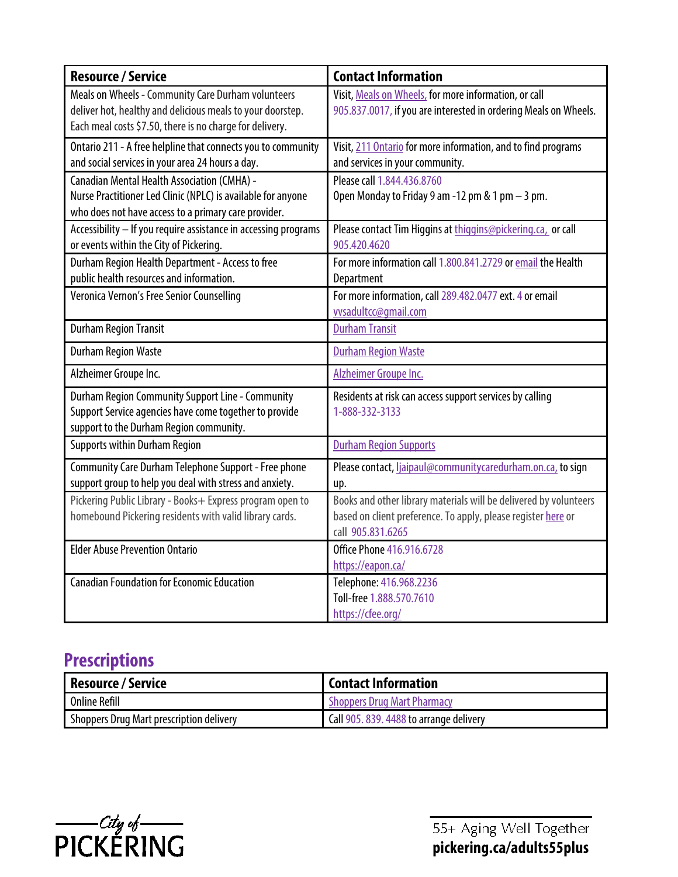| <b>Resource / Service</b>                                                                                                                                                    | <b>Contact Information</b>                                                                                                                              |
|------------------------------------------------------------------------------------------------------------------------------------------------------------------------------|---------------------------------------------------------------------------------------------------------------------------------------------------------|
| Meals on Wheels - Community Care Durham volunteers<br>deliver hot, healthy and delicious meals to your doorstep.<br>Each meal costs \$7.50, there is no charge for delivery. | Visit, Meals on Wheels, for more information, or call<br>905.837.0017, if you are interested in ordering Meals on Wheels.                               |
| Ontario 211 - A free helpline that connects you to community<br>and social services in your area 24 hours a day.                                                             | Visit, 211 Ontario for more information, and to find programs<br>and services in your community.                                                        |
| <b>Canadian Mental Health Association (CMHA) -</b><br>Nurse Practitioner Led Clinic (NPLC) is available for anyone<br>who does not have access to a primary care provider.   | Please call 1.844.436.8760<br>Open Monday to Friday 9 am -12 pm & 1 pm - 3 pm.                                                                          |
| Accessibility - If you require assistance in accessing programs<br>or events within the City of Pickering.                                                                   | Please contact Tim Higgins at thiggins@pickering.ca, or call<br>905.420.4620                                                                            |
| Durham Region Health Department - Access to free<br>public health resources and information.                                                                                 | For more information call 1.800.841.2729 or email the Health<br>Department                                                                              |
| Veronica Vernon's Free Senior Counselling                                                                                                                                    | For more information, call 289.482.0477 ext. 4 or email<br>vvsadultcc@qmail.com                                                                         |
| <b>Durham Region Transit</b>                                                                                                                                                 | <b>Durham Transit</b>                                                                                                                                   |
| <b>Durham Region Waste</b>                                                                                                                                                   | <b>Durham Region Waste</b>                                                                                                                              |
| Alzheimer Groupe Inc.                                                                                                                                                        | Alzheimer Groupe Inc.                                                                                                                                   |
| Durham Region Community Support Line - Community<br>Support Service agencies have come together to provide<br>support to the Durham Region community.                        | Residents at risk can access support services by calling<br>1-888-332-3133                                                                              |
| <b>Supports within Durham Region</b>                                                                                                                                         | <b>Durham Region Supports</b>                                                                                                                           |
| Community Care Durham Telephone Support - Free phone<br>support group to help you deal with stress and anxiety.                                                              | Please contact, liaipaul@communitycaredurham.on.ca, to sign<br>up.                                                                                      |
| Pickering Public Library - Books+ Express program open to<br>homebound Pickering residents with valid library cards.                                                         | Books and other library materials will be delivered by volunteers<br>based on client preference. To apply, please register here or<br>call 905.831.6265 |
| <b>Elder Abuse Prevention Ontario</b>                                                                                                                                        | <b>Office Phone 416.916.6728</b><br>https://eapon.ca/                                                                                                   |
| <b>Canadian Foundation for Economic Education</b>                                                                                                                            | Telephone: 416.968.2236<br>Toll-free 1.888.570.7610<br>https://cfee.org/                                                                                |

## **Prescriptions**

| Resource / Service                       | l Contact Information                   |
|------------------------------------------|-----------------------------------------|
| Online Refill                            | <b>Shoppers Drug Mart Pharmacy</b>      |
| Shoppers Drug Mart prescription delivery | Call 905, 839, 4488 to arrange delivery |